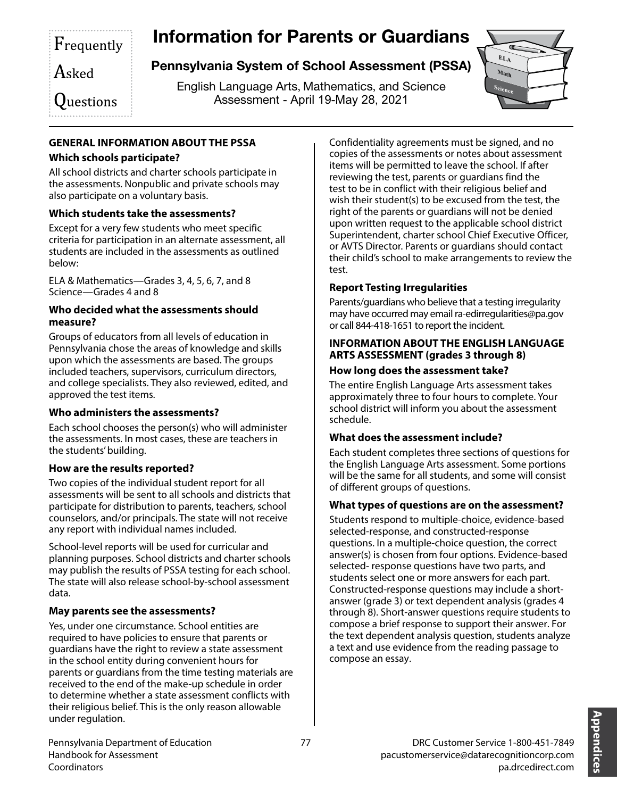# Information for Parents or Guardians

Asked

# Pennsylvania System of School Assessment (PSSA)

English Language Arts, Mathematics, and Science Assessment - April 19-May 28, 2021



 $\mathsf{Q}$ uestions

Frequently

# **GENERAL INFORMATION ABOUT THE PSSA**

# **Which schools participate?**

All school districts and charter schools participate in the assessments. Nonpublic and private schools may also participate on a voluntary basis.

# **Which students take the assessments?**

Except for a very few students who meet specific criteria for participation in an alternate assessment, all students are included in the assessments as outlined below:

ELA & Mathematics—Grades 3, 4, 5, 6, 7, and 8 Science—Grades 4 and 8

#### **Who decided what the assessments should measure?**

Groups of educators from all levels of education in Pennsylvania chose the areas of knowledge and skills upon which the assessments are based. The groups included teachers, supervisors, curriculum directors, and college specialists. They also reviewed, edited, and approved the test items.

# **Who administers the assessments?**

Each school chooses the person(s) who will administer the assessments. In most cases, these are teachers in the students' building.

# **How are the results reported?**

Two copies of the individual student report for all assessments will be sent to all schools and districts that participate for distribution to parents, teachers, school counselors, and/or principals. The state will not receive any report with individual names included.

School-level reports will be used for curricular and planning purposes. School districts and charter schools may publish the results of PSSA testing for each school. The state will also release school-by-school assessment data.

# **May parents see the assessments?**

Yes, under one circumstance. School entities are required to have policies to ensure that parents or guardians have the right to review a state assessment in the school entity during convenient hours for parents or guardians from the time testing materials are received to the end of the make-up schedule in order to determine whether a state assessment conflicts with their religious belief. This is the only reason allowable under regulation.

Confidentiality agreements must be signed, and no copies of the assessments or notes about assessment items will be permitted to leave the school. If after reviewing the test, parents or guardians find the test to be in conflict with their religious belief and wish their student(s) to be excused from the test, the right of the parents or guardians will not be denied upon written request to the applicable school district Superintendent, charter school Chief Executive Officer, or AVTS Director. Parents or guardians should contact their child's school to make arrangements to review the test.

# **Report Testing Irregularities**

Parents/guardians who believe that a testing irregularity may have occurred may email ra-edirregularities@pa.gov or call 844-418-1651 to report the incident.

#### **INFORMATION ABOUT THE ENGLISH LANGUAGE ARTS ASSESSMENT (grades 3 through 8)**

## **How long does the assessment take?**

The entire English Language Arts assessment takes approximately three to four hours to complete. Your school district will inform you about the assessment schedule.

# **What does the assessment include?**

Each student completes three sections of questions for the English Language Arts assessment. Some portions will be the same for all students, and some will consist of different groups of questions.

# **What types of questions are on the assessment?**

Students respond to multiple-choice, evidence-based selected-response, and constructed-response questions. In a multiple-choice question, the correct answer(s) is chosen from four options. Evidence-based selected- response questions have two parts, and students select one or more answers for each part. Constructed-response questions may include a shortanswer (grade 3) or text dependent analysis (grades 4 through 8). Short-answer questions require students to compose a brief response to support their answer. For the text dependent analysis question, students analyze a text and use evidence from the reading passage to compose an essay.

> **Appendices** Appendices

Pennsylvania Department of Education 77 Handbook for Assessment Coordinators